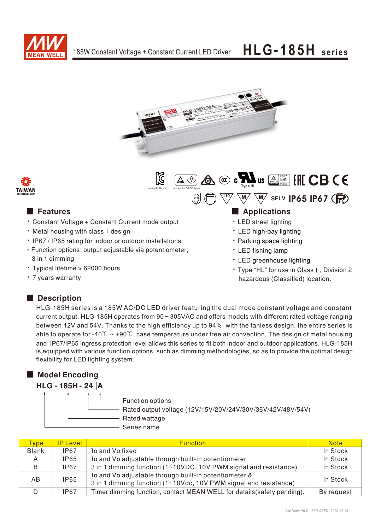



(except for D-type) (except for B/AB/D-type) Type HL

 $\mathbb{Z}$ 



- Constant Voltage + Constant Current mode output
- $\cdot$  Metal housing with class I design
- IP67 / IP65 rating for indoor or outdoor installations • Function options: output adjustable via potentiometer;
- 3 in 1 dimming · Typical lifetime > 62000 hours
- 
- 7 years warranty

## ■ Features ■ Particular and Particular and Particular and Particular and Particular and Particular and Particular and Particular and Particular and Particular and Particular and Particular and Particular and Particular an

 $\frac{110}{10}$  M/ M/ selv IP65 IP67

Bauari gepruft<br>Sicherheit<br>Megelma ge<br>Sicherheit<br>Sicherheit<br>Sicherheit<br>Sicherheit

- LED street lighting
- LED high-bay lighting
- Parking space lighting
- LED fishing lamp
- LED greenhouse lighting
- Type "HL" for use in Class I, Division 2 hazardous (Classified) location.

### Description

HLG-185H series is a 185W AC/DC LED driver featuring the dual mode constant voltage and constant current output. HLG-185H operates from 90 ~ 305VAC and offers models with different rated voltage ranging between 12V and 54V. Thanks to the high efficiency up to 94%, with the fanless design, the entire series is able to operate for -40° $\degree$   $\sim$  +90° $\degree$  case temperature under free air convection. The design of metal housing and IP67/IP65 ingress protection level allows this series to fit both indoor and outdoor applications. HLG-185H is equipped with various function options, such as dimming methodologies, so as to provide the optimal design flexibility for LED lighting system.

### ■ Model Encoding



| <b>Type</b>  | <b>IP Level</b> | <b>Function</b>                                                                                                           | <b>Note</b> |
|--------------|-----------------|---------------------------------------------------------------------------------------------------------------------------|-------------|
| <b>Blank</b> | <b>IP67</b>     | Io and Vo fixed                                                                                                           | In Stock    |
|              | IP65            | Io and Vo adjustable through built-in potentiometer                                                                       | In Stock    |
| B            | <b>IP67</b>     | 3 in 1 dimming function (1~10VDC, 10V PWM signal and resistance)                                                          | In Stock    |
| AB           | <b>IP65</b>     | Io and Vo adjustable through built-in potentiometer &<br>3 in 1 dimming function (1~10Vdc, 10V PWM signal and resistance) | In Stock    |
|              | IP67            | Timer dimming function, contact MEAN WELL for details (safety pending).                                                   | By request  |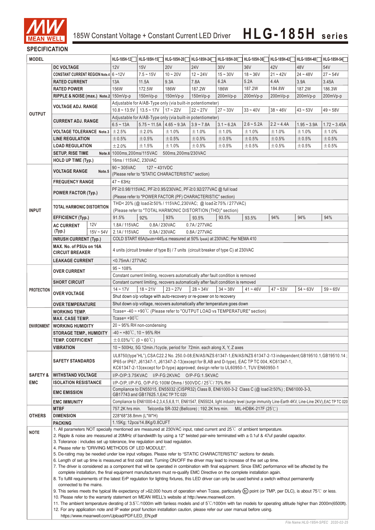

### **SPECIFICATION**

| <b>MODEL</b>            |                                                                                                                                                                                                                                                                                    | HLG-185H-12                                                               | HLG-185H-15                                                                                                                                                                                                               | HLG-185H-20                                                                                                                                                                                                                                                                       | HLG-185H-24 | HLG-185H-30                                                                         | HLG-185H-36 | HLG-185H-42 | HLG-185H-48 | HLG-185H-54 |             |  |
|-------------------------|------------------------------------------------------------------------------------------------------------------------------------------------------------------------------------------------------------------------------------------------------------------------------------|---------------------------------------------------------------------------|---------------------------------------------------------------------------------------------------------------------------------------------------------------------------------------------------------------------------|-----------------------------------------------------------------------------------------------------------------------------------------------------------------------------------------------------------------------------------------------------------------------------------|-------------|-------------------------------------------------------------------------------------|-------------|-------------|-------------|-------------|-------------|--|
|                         | <b>DC VOLTAGE</b>                                                                                                                                                                                                                                                                  |                                                                           | 12V                                                                                                                                                                                                                       | 15V                                                                                                                                                                                                                                                                               | <b>20V</b>  | <b>24V</b>                                                                          | 30V         | 36V         | 42V         | 48V         | 54V         |  |
|                         | CONSTANT CURRENT REGION Note.4 6~12V                                                                                                                                                                                                                                               |                                                                           |                                                                                                                                                                                                                           | $7.5 - 15V$                                                                                                                                                                                                                                                                       | $10 - 20V$  | $12 - 24V$                                                                          | $15 - 30V$  | $18 - 36V$  | $21 - 42V$  | $24 - 48V$  | $27 - 54V$  |  |
|                         | <b>RATED CURRENT</b>                                                                                                                                                                                                                                                               |                                                                           | 13A                                                                                                                                                                                                                       | 11.5A                                                                                                                                                                                                                                                                             | 9.3A        | 7.8A                                                                                | 6.2A        | 5.2A        | 4.4A        | 3.9A        | 3.45A       |  |
|                         | <b>RATED POWER</b>                                                                                                                                                                                                                                                                 |                                                                           | 156W                                                                                                                                                                                                                      | 172.5W                                                                                                                                                                                                                                                                            | 186W        | 187.2W                                                                              | 186W        | 187.2W      | 184.8W      | 187.2W      | 186.3W      |  |
|                         | RIPPLE & NOISE (max.) Note.2 150mVp-p                                                                                                                                                                                                                                              |                                                                           |                                                                                                                                                                                                                           | 150mVp-p                                                                                                                                                                                                                                                                          | 150mVp-p    | 150mVp-p                                                                            | 200mVp-p    | 200mVp-p    | 200mVp-p    | 200mVp-p    | 200mVp-p    |  |
|                         |                                                                                                                                                                                                                                                                                    |                                                                           |                                                                                                                                                                                                                           |                                                                                                                                                                                                                                                                                   |             | Adjustable for A/AB-Type only (via built-in potentiometer)                          |             |             |             |             |             |  |
|                         | <b>VOLTAGE ADJ. RANGE</b>                                                                                                                                                                                                                                                          |                                                                           |                                                                                                                                                                                                                           |                                                                                                                                                                                                                                                                                   | $17 - 22V$  | $22 - 27V$                                                                          | $27 - 33V$  | $33 - 40V$  | $38 - 46V$  |             |             |  |
| <b>OUTPUT</b>           |                                                                                                                                                                                                                                                                                    |                                                                           | $10.8 \sim 13.5V$   13.5 ~ 17V<br>$43 - 53V$<br>$49 - 58V$                                                                                                                                                                |                                                                                                                                                                                                                                                                                   |             |                                                                                     |             |             |             |             |             |  |
|                         | <b>CURRENT ADJ. RANGE</b>                                                                                                                                                                                                                                                          |                                                                           | Adjustable for A/AB-Type only (via built-in potentiometer)<br>$6.5 - 13A$<br>$5.75 \sim 11.5$ A $\mid 4.65 \sim 9.3$ A<br>$3.9 - 7.8A$<br>$3.1 - 6.2A$<br>$2.6 - 5.2A$<br>$2.2 - 4.4A$<br>$1.95 - 3.9A$<br>$1.72 - 3.45A$ |                                                                                                                                                                                                                                                                                   |             |                                                                                     |             |             |             |             |             |  |
|                         | <b>VOLTAGE TOLERANCE Note.3</b>                                                                                                                                                                                                                                                    |                                                                           | ±2.5%                                                                                                                                                                                                                     | ±2.0%                                                                                                                                                                                                                                                                             | ±1.0%       | ±1.0%                                                                               | ±1.0%       | ±1.0%       | ±1.0%       | ±1.0%       | ±1.0%       |  |
|                         |                                                                                                                                                                                                                                                                                    |                                                                           | ±0.5%                                                                                                                                                                                                                     | ±0.5%                                                                                                                                                                                                                                                                             |             | ±0.5%                                                                               | ±0.5%       | ±0.5%       | ±0.5%       |             |             |  |
|                         | <b>LINE REGULATION</b>                                                                                                                                                                                                                                                             |                                                                           | ±2.0%                                                                                                                                                                                                                     |                                                                                                                                                                                                                                                                                   | ±0.5%       |                                                                                     |             |             |             | ±0.5%       | $\pm 0.5\%$ |  |
|                         | <b>LOAD REGULATION</b>                                                                                                                                                                                                                                                             |                                                                           |                                                                                                                                                                                                                           | ±1.5%                                                                                                                                                                                                                                                                             | ±1.0%       | ±0.5%                                                                               | ±0.5%       | ± 0.5%      | $\pm 0.5\%$ | $\pm 0.5\%$ | ±0.5%       |  |
|                         | <b>SETUP, RISE TIME</b>                                                                                                                                                                                                                                                            |                                                                           | Note.6 1000ms, 200ms/115VAC<br>500ms, 200ms/230VAC<br>16ms / 115VAC, 230VAC                                                                                                                                               |                                                                                                                                                                                                                                                                                   |             |                                                                                     |             |             |             |             |             |  |
|                         | <b>HOLD UP TIME (Typ.)</b>                                                                                                                                                                                                                                                         |                                                                           |                                                                                                                                                                                                                           |                                                                                                                                                                                                                                                                                   |             |                                                                                     |             |             |             |             |             |  |
|                         | <b>VOLTAGE RANGE</b>                                                                                                                                                                                                                                                               | Note.5                                                                    | $90 \sim 305$ VAC                                                                                                                                                                                                         | $127 - 431VDC$                                                                                                                                                                                                                                                                    |             |                                                                                     |             |             |             |             |             |  |
|                         |                                                                                                                                                                                                                                                                                    |                                                                           | (Please refer to "STATIC CHARACTERISTIC" section)                                                                                                                                                                         |                                                                                                                                                                                                                                                                                   |             |                                                                                     |             |             |             |             |             |  |
|                         | <b>FREQUENCY RANGE</b>                                                                                                                                                                                                                                                             |                                                                           | $47 \sim 63$ Hz                                                                                                                                                                                                           |                                                                                                                                                                                                                                                                                   |             |                                                                                     |             |             |             |             |             |  |
|                         | POWER FACTOR (Typ.)                                                                                                                                                                                                                                                                |                                                                           |                                                                                                                                                                                                                           |                                                                                                                                                                                                                                                                                   |             | PF≧0.98/115VAC, PF≧0.95/230VAC, PF≧0.92/277VAC @ full load                          |             |             |             |             |             |  |
|                         |                                                                                                                                                                                                                                                                                    |                                                                           |                                                                                                                                                                                                                           |                                                                                                                                                                                                                                                                                   |             | (Please refer to "POWER FACTOR (PF) CHARACTERISTIC" section)                        |             |             |             |             |             |  |
|                         | <b>TOTAL HARMONIC DISTORTION</b>                                                                                                                                                                                                                                                   |                                                                           |                                                                                                                                                                                                                           |                                                                                                                                                                                                                                                                                   |             | THD< 20% (@ load≧50% / 115VAC, 230VAC; @ load≧75% / 277VAC)                         |             |             |             |             |             |  |
| <b>INPUT</b>            |                                                                                                                                                                                                                                                                                    |                                                                           |                                                                                                                                                                                                                           |                                                                                                                                                                                                                                                                                   |             | (Please refer to "TOTAL HARMONIC DISTORTION (THD)" section)                         |             |             |             |             |             |  |
|                         | <b>EFFICIENCY (Typ.)</b>                                                                                                                                                                                                                                                           |                                                                           | 91.5%                                                                                                                                                                                                                     | 92%                                                                                                                                                                                                                                                                               | 93%         | 93.5%                                                                               | 93.5%       | 93.5%       | 94%         | 94%         | 94%         |  |
|                         | <b>AC CURRENT</b>                                                                                                                                                                                                                                                                  | 12V                                                                       | 1.8A/115VAC                                                                                                                                                                                                               | 0.8A/230VAC                                                                                                                                                                                                                                                                       |             | 0.7A/277VAC<br>0.8A/277VAC                                                          |             |             |             |             |             |  |
|                         | (Typ.)                                                                                                                                                                                                                                                                             | $15V - 54V$                                                               | 2.1A/115VAC                                                                                                                                                                                                               | 0.9A/230VAC                                                                                                                                                                                                                                                                       |             |                                                                                     |             |             |             |             |             |  |
|                         | <b>INRUSH CURRENT (Typ.)</b>                                                                                                                                                                                                                                                       |                                                                           |                                                                                                                                                                                                                           |                                                                                                                                                                                                                                                                                   |             | COLD START 65A(twidth=445us measured at 50% Ipeak) at 230VAC; Per NEMA 410          |             |             |             |             |             |  |
|                         | MAX. No. of PSUs on 16A<br><b>CIRCUIT BREAKER</b>                                                                                                                                                                                                                                  |                                                                           |                                                                                                                                                                                                                           |                                                                                                                                                                                                                                                                                   |             | 4 units (circuit breaker of type B) / 7 units (circuit breaker of type C) at 230VAC |             |             |             |             |             |  |
|                         |                                                                                                                                                                                                                                                                                    |                                                                           |                                                                                                                                                                                                                           |                                                                                                                                                                                                                                                                                   |             |                                                                                     |             |             |             |             |             |  |
|                         |                                                                                                                                                                                                                                                                                    | <b>LEAKAGE CURRENT</b>                                                    |                                                                                                                                                                                                                           | <0.75mA/277VAC                                                                                                                                                                                                                                                                    |             |                                                                                     |             |             |             |             |             |  |
|                         | <b>OVER CURRENT</b>                                                                                                                                                                                                                                                                |                                                                           |                                                                                                                                                                                                                           | $95 - 108%$                                                                                                                                                                                                                                                                       |             |                                                                                     |             |             |             |             |             |  |
|                         |                                                                                                                                                                                                                                                                                    |                                                                           | Constant current limiting, recovers automatically after fault condition is removed<br>Constant current limiting, recovers automatically after fault condition is removed                                                  |                                                                                                                                                                                                                                                                                   |             |                                                                                     |             |             |             |             |             |  |
|                         | <b>SHORT CIRCUIT</b>                                                                                                                                                                                                                                                               |                                                                           |                                                                                                                                                                                                                           |                                                                                                                                                                                                                                                                                   |             |                                                                                     |             |             |             |             |             |  |
| <b>PROTECTION</b>       | <b>OVER VOLTAGE</b>                                                                                                                                                                                                                                                                |                                                                           | $14 - 17V$                                                                                                                                                                                                                | $18 - 21V$                                                                                                                                                                                                                                                                        | $23 - 27V$  | $28 - 34V$                                                                          | $34 - 38V$  | $41 - 46V$  | $47 - 53V$  | $54 - 63V$  | $59 - 65V$  |  |
|                         |                                                                                                                                                                                                                                                                                    |                                                                           |                                                                                                                                                                                                                           |                                                                                                                                                                                                                                                                                   |             | Shut down o/p voltage with auto-recovery or re-power on to recovery                 |             |             |             |             |             |  |
| <b>OVER TEMPERATURE</b> |                                                                                                                                                                                                                                                                                    | Shut down o/p voltage, recovers automatically after temperature goes down |                                                                                                                                                                                                                           |                                                                                                                                                                                                                                                                                   |             |                                                                                     |             |             |             |             |             |  |
|                         | <b>WORKING TEMP.</b>                                                                                                                                                                                                                                                               |                                                                           | Tcase=-40~+90°C (Please refer to "OUTPUT LOAD vs TEMPERATURE" section)                                                                                                                                                    |                                                                                                                                                                                                                                                                                   |             |                                                                                     |             |             |             |             |             |  |
|                         | <b>MAX. CASE TEMP.</b>                                                                                                                                                                                                                                                             |                                                                           | Tcase= $+90^{\circ}$ C                                                                                                                                                                                                    |                                                                                                                                                                                                                                                                                   |             |                                                                                     |             |             |             |             |             |  |
| ENVIRONMENT             | <b>WORKING HUMIDITY</b>                                                                                                                                                                                                                                                            |                                                                           | $20 \sim 95\%$ RH non-condensing                                                                                                                                                                                          |                                                                                                                                                                                                                                                                                   |             |                                                                                     |             |             |             |             |             |  |
|                         | <b>STORAGE TEMP., HUMIDITY</b><br><b>TEMP. COEFFICIENT</b>                                                                                                                                                                                                                         |                                                                           | $-40 \sim +80^{\circ}$ C, 10 ~ 95% RH                                                                                                                                                                                     |                                                                                                                                                                                                                                                                                   |             |                                                                                     |             |             |             |             |             |  |
|                         |                                                                                                                                                                                                                                                                                    |                                                                           | $\pm$ 0.03%/°C (0 ~ 60°C)                                                                                                                                                                                                 |                                                                                                                                                                                                                                                                                   |             |                                                                                     |             |             |             |             |             |  |
|                         | <b>VIBRATION</b>                                                                                                                                                                                                                                                                   |                                                                           | $10 \sim 500$ Hz, 5G 12min./1cycle, period for 72min. each along X, Y, Z axes                                                                                                                                             |                                                                                                                                                                                                                                                                                   |             |                                                                                     |             |             |             |             |             |  |
|                         | <b>SAFETY STANDARDS</b>                                                                                                                                                                                                                                                            |                                                                           | UL8750(type"HL"), CSA C22.2 No. 250.0-08; EN/AS/NZS 61347-1, EN/AS/NZS 61347-2-13 independent; GB19510.1, GB19510.14;                                                                                                     |                                                                                                                                                                                                                                                                                   |             |                                                                                     |             |             |             |             |             |  |
|                         |                                                                                                                                                                                                                                                                                    |                                                                           | IP65 or IP67; J61347-1, J61347-2-13(except for B,AB and D-type), EAC TP TC 004, KC61347-1,<br>KC61347-2-13(except for D-type) approved; design refer to UL60950-1, TUV EN60950-1                                          |                                                                                                                                                                                                                                                                                   |             |                                                                                     |             |             |             |             |             |  |
| <b>SAFETY &amp;</b>     | <b>WITHSTAND VOLTAGE</b>                                                                                                                                                                                                                                                           |                                                                           |                                                                                                                                                                                                                           |                                                                                                                                                                                                                                                                                   |             | I/P-O/P:3.75KVAC I/P-FG:2KVAC O/P-FG:1.5KVAC                                        |             |             |             |             |             |  |
| <b>EMC</b>              | <b>ISOLATION RESISTANCE</b>                                                                                                                                                                                                                                                        |                                                                           |                                                                                                                                                                                                                           |                                                                                                                                                                                                                                                                                   |             |                                                                                     |             |             |             |             |             |  |
|                         |                                                                                                                                                                                                                                                                                    |                                                                           | I/P-O/P, I/P-FG, O/P-FG:100M Ohms / 500VDC / 25 °C / 70% RH<br>Compliance to EN55015, EN55032 (CISPR32) Class B, EN61000-3-2 Class C (@ load≧50%) ; EN61000-3-3,                                                          |                                                                                                                                                                                                                                                                                   |             |                                                                                     |             |             |             |             |             |  |
|                         | <b>EMC EMISSION</b><br><b>EMC IMMUNITY</b>                                                                                                                                                                                                                                         |                                                                           | GB17743 and GB17625.1, EAC TP TC 020                                                                                                                                                                                      |                                                                                                                                                                                                                                                                                   |             |                                                                                     |             |             |             |             |             |  |
|                         |                                                                                                                                                                                                                                                                                    |                                                                           | Compliance to EN61000-4-2,3,4,5,6,8,11, EN61547, EN55024, light industry level (surge immunity Line-Earth 4KV, Line-Line 2KV),EAC TP TC 020                                                                               |                                                                                                                                                                                                                                                                                   |             |                                                                                     |             |             |             |             |             |  |
| <b>OTHERS</b>           | <b>MTBF</b>                                                                                                                                                                                                                                                                        |                                                                           | Telcordia SR-332 (Bellcore) ; 192.2K hrs min.<br>757.2K hrs min.<br>MIL-HDBK-217F (25 $\degree$ C)                                                                                                                        |                                                                                                                                                                                                                                                                                   |             |                                                                                     |             |             |             |             |             |  |
|                         | <b>DIMENSION</b>                                                                                                                                                                                                                                                                   |                                                                           | 228*68*38.8mm (L*W*H)                                                                                                                                                                                                     |                                                                                                                                                                                                                                                                                   |             |                                                                                     |             |             |             |             |             |  |
|                         | <b>PACKING</b>                                                                                                                                                                                                                                                                     |                                                                           | 1.15Kg; 12pcs/14.8Kg/0.8CUFT                                                                                                                                                                                              |                                                                                                                                                                                                                                                                                   |             |                                                                                     |             |             |             |             |             |  |
| <b>NOTE</b>             | 1. All parameters NOT specially mentioned are measured at 230VAC input, rated current and 25°C of ambient temperature.                                                                                                                                                             |                                                                           |                                                                                                                                                                                                                           |                                                                                                                                                                                                                                                                                   |             |                                                                                     |             |             |             |             |             |  |
|                         |                                                                                                                                                                                                                                                                                    |                                                                           |                                                                                                                                                                                                                           | 2. Ripple & noise are measured at 20MHz of bandwidth by using a 12" twisted pair-wire terminated with a 0.1uf & 47uf parallel capacitor.                                                                                                                                          |             |                                                                                     |             |             |             |             |             |  |
|                         | 3. Tolerance: includes set up tolerance, line regulation and load regulation.<br>4. Please refer to "DRIVING METHODS OF LED MODULE".                                                                                                                                               |                                                                           |                                                                                                                                                                                                                           |                                                                                                                                                                                                                                                                                   |             |                                                                                     |             |             |             |             |             |  |
|                         | 5. De-rating may be needed under low input voltages. Please refer to "STATIC CHARACTERISTIC" sections for details.                                                                                                                                                                 |                                                                           |                                                                                                                                                                                                                           |                                                                                                                                                                                                                                                                                   |             |                                                                                     |             |             |             |             |             |  |
|                         | 6. Length of set up time is measured at first cold start. Turning ON/OFF the driver may lead to increase of the set up time.                                                                                                                                                       |                                                                           |                                                                                                                                                                                                                           |                                                                                                                                                                                                                                                                                   |             |                                                                                     |             |             |             |             |             |  |
|                         | 7. The driver is considered as a component that will be operated in combination with final equipment. Since EMC performance will be affected by the                                                                                                                                |                                                                           |                                                                                                                                                                                                                           |                                                                                                                                                                                                                                                                                   |             |                                                                                     |             |             |             |             |             |  |
|                         |                                                                                                                                                                                                                                                                                    |                                                                           |                                                                                                                                                                                                                           | complete installation, the final equipment manufacturers must re-qualify EMC Directive on the complete installation again.<br>8. To fulfill requirements of the latest ErP regulation for lighting fixtures, this LED driver can only be used behind a switch without permanently |             |                                                                                     |             |             |             |             |             |  |
|                         |                                                                                                                                                                                                                                                                                    |                                                                           |                                                                                                                                                                                                                           |                                                                                                                                                                                                                                                                                   |             |                                                                                     |             |             |             |             |             |  |
|                         |                                                                                                                                                                                                                                                                                    |                                                                           |                                                                                                                                                                                                                           |                                                                                                                                                                                                                                                                                   |             |                                                                                     |             |             |             |             |             |  |
|                         | connected to the mains.                                                                                                                                                                                                                                                            |                                                                           |                                                                                                                                                                                                                           |                                                                                                                                                                                                                                                                                   |             |                                                                                     |             |             |             |             |             |  |
|                         | 9. This series meets the typical life expectancy of >62,000 hours of operation when Tcase, particularly (tc) point (or TMP, per DLC), is about 75℃ or less.                                                                                                                        |                                                                           |                                                                                                                                                                                                                           |                                                                                                                                                                                                                                                                                   |             |                                                                                     |             |             |             |             |             |  |
|                         | 10. Please refer to the warranty statement on MEAN WELL's website at http://www.meanwell.com.<br>11. The ambient temperature derating of $3.5^{\circ}$ C/1000m with fanless models and of 5 <sup>°C</sup> /1000m with fan models for operating altitude higher than 2000m(6500ft). |                                                                           |                                                                                                                                                                                                                           |                                                                                                                                                                                                                                                                                   |             |                                                                                     |             |             |             |             |             |  |
|                         | 12. For any application note and IP water proof function installation caution, please refer our user manual before using.                                                                                                                                                          |                                                                           |                                                                                                                                                                                                                           |                                                                                                                                                                                                                                                                                   |             |                                                                                     |             |             |             |             |             |  |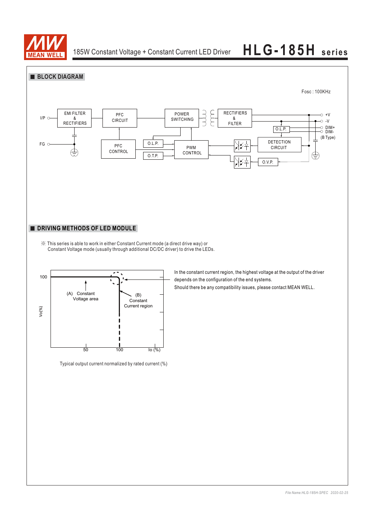

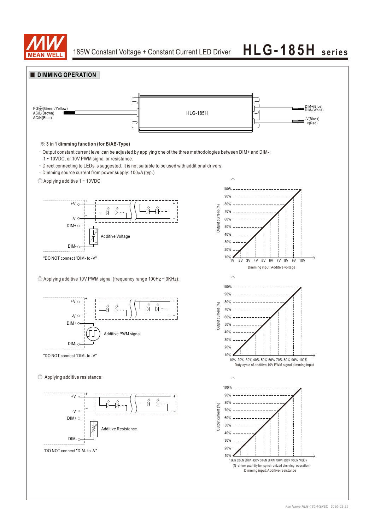

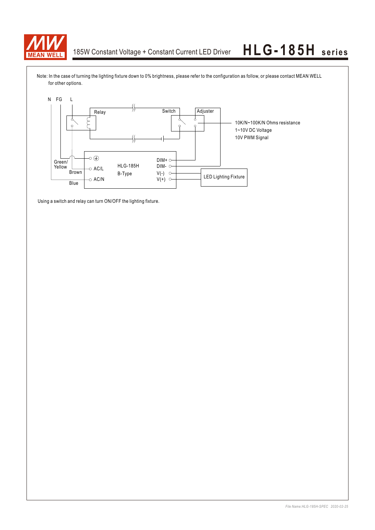

Note: In the case of turning the lighting fixture down to 0% brightness, please refer to the configuration as follow, or please contact MEAN WELL for other options.



Using a switch and relay can turn ON/OFF the lighting fixture.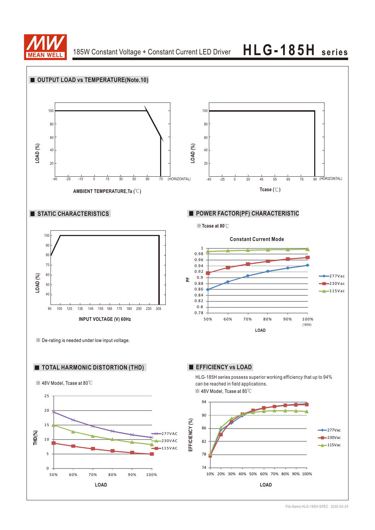

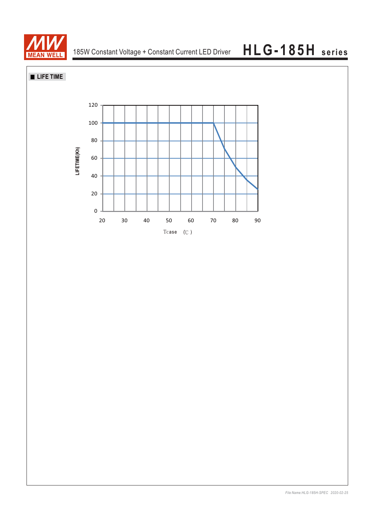

**LIFE TIME**

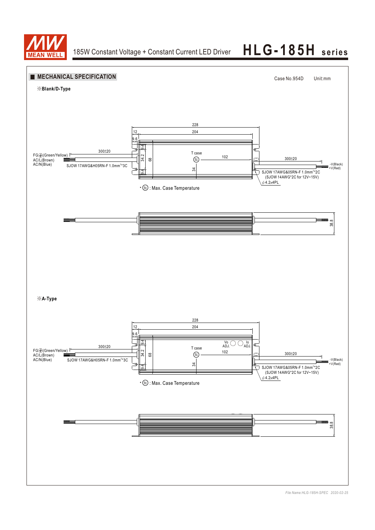

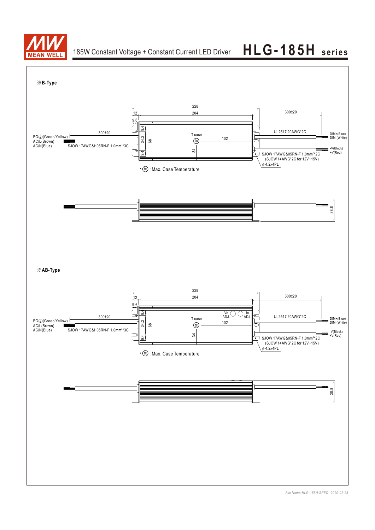